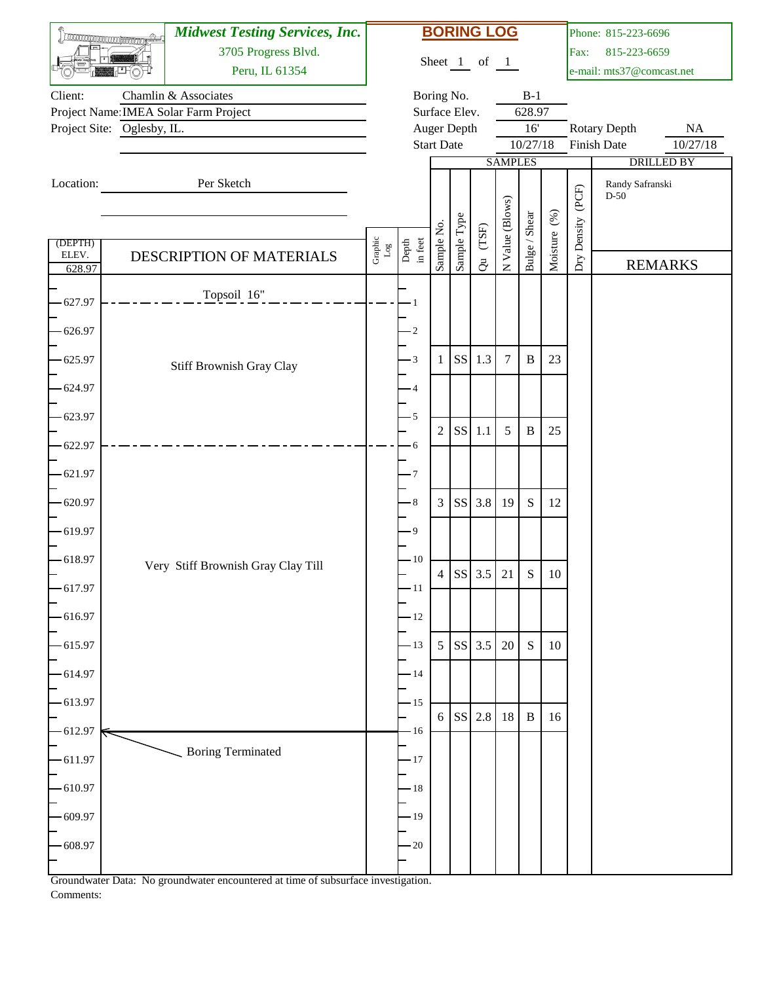|                 | <b>TROCONOMICO COMPROMOTO</b> | <b>Midwest Testing Services, Inc.</b> |                           |                  |                   |               | <b>BORING LOG</b> |                 |               |              |                   | Phone: 815-223-6696                |                       |
|-----------------|-------------------------------|---------------------------------------|---------------------------|------------------|-------------------|---------------|-------------------|-----------------|---------------|--------------|-------------------|------------------------------------|-----------------------|
|                 |                               | 3705 Progress Blvd.                   |                           |                  |                   |               | Sheet 1 of 1      |                 |               |              | Fax:              | 815-223-6659                       |                       |
|                 |                               | Peru, IL 61354                        |                           |                  |                   |               |                   |                 |               |              |                   | e-mail: mts37@comcast.net          |                       |
| Client:         |                               | Chamlin & Associates                  |                           |                  |                   | Boring No.    |                   |                 | $B-1$         |              |                   |                                    |                       |
|                 |                               | Project Name: IMEA Solar Farm Project |                           |                  |                   | Surface Elev. |                   |                 | 628.97<br>16' |              |                   |                                    |                       |
|                 | Project Site: Oglesby, IL.    |                                       |                           |                  | <b>Start Date</b> | Auger Depth   |                   |                 | 10/27/18      |              |                   | <b>Rotary Depth</b><br>Finish Date | <b>NA</b><br>10/27/18 |
|                 |                               |                                       |                           |                  |                   |               |                   | <b>SAMPLES</b>  |               |              |                   |                                    | <b>DRILLED BY</b>     |
| Location:       |                               | Per Sketch                            |                           |                  |                   |               |                   |                 |               |              |                   | Randy Safranski                    |                       |
|                 |                               |                                       |                           |                  |                   |               |                   |                 |               |              |                   | $D-50$                             |                       |
|                 |                               |                                       |                           |                  |                   |               |                   | N Value (Blows) | Bulge / Shear | Moisture (%) | Dry Density (PCF) |                                    |                       |
| (DEPTH)         |                               |                                       | Graphic $_{\texttt{Log}}$ | Depth<br>in feet | Sample No.        | Sample Type   | $(T\mathrm{SF})$  |                 |               |              |                   |                                    |                       |
| ELEV.<br>628.97 |                               | DESCRIPTION OF MATERIALS              |                           |                  |                   |               | $\vec{c}$         |                 |               |              |                   |                                    | <b>REMARKS</b>        |
|                 |                               | Topsoil 16"                           |                           |                  |                   |               |                   |                 |               |              |                   |                                    |                       |
| 627.97          |                               |                                       |                           |                  |                   |               |                   |                 |               |              |                   |                                    |                       |
| 626.97          |                               |                                       |                           | $\cdot$ 2        |                   |               |                   |                 |               |              |                   |                                    |                       |
| 625.97          |                               | Stiff Brownish Gray Clay              |                           | $\cdot$ 3        | 1                 | <b>SS</b>     | 1.3               | $\tau$          | $\, {\bf B}$  | 23           |                   |                                    |                       |
| 624.97          |                               |                                       |                           | 4                |                   |               |                   |                 |               |              |                   |                                    |                       |
| 623.97          |                               |                                       |                           | $-5$             |                   |               |                   |                 |               |              |                   |                                    |                       |
| 622.97          |                               |                                       |                           | $\cdot 6$        | $\mathfrak{2}$    | <b>SS</b>     | 1.1               | 5               | $\, {\bf B}$  | 25           |                   |                                    |                       |
| 621.97          |                               |                                       |                           | - 7              |                   |               |                   |                 |               |              |                   |                                    |                       |
| 620.97          |                               |                                       |                           | $\cdot$ 8        | $\mathfrak{Z}$    | <b>SS</b>     | 3.8               | <sup>19</sup>   | S             | 12           |                   |                                    |                       |
| $-619.97$       |                               |                                       |                           | - 9              |                   |               |                   |                 |               |              |                   |                                    |                       |
| 618.97          |                               | Very Stiff Brownish Gray Clay Till    |                           | $-10$            |                   |               |                   |                 |               |              |                   |                                    |                       |
| 617.97          |                               |                                       |                           | $-11$            | 4                 |               | SS 3.5 21         |                 | S             | $10\,$       |                   |                                    |                       |
| 616.97          |                               |                                       |                           | $-12$            |                   |               |                   |                 |               |              |                   |                                    |                       |
| 615.97          |                               |                                       |                           | $-13$            |                   |               | $5$ SS 3.5        | 20              | $\mathbf S$   | 10           |                   |                                    |                       |
| 614.97          |                               |                                       |                           | $-14$            |                   |               |                   |                 |               |              |                   |                                    |                       |
| 613.97          |                               |                                       |                           | $-15$            |                   |               | $6$ SS 2.8 18     |                 | $\, {\bf B}$  | 16           |                   |                                    |                       |
| -612.97         |                               |                                       |                           | $-16$            |                   |               |                   |                 |               |              |                   |                                    |                       |
| 611.97          |                               | <b>Boring Terminated</b>              |                           | $-17$            |                   |               |                   |                 |               |              |                   |                                    |                       |
| $-610.97$       |                               |                                       |                           | $-18$            |                   |               |                   |                 |               |              |                   |                                    |                       |
| $-609.97$       |                               |                                       |                           | $-19$            |                   |               |                   |                 |               |              |                   |                                    |                       |
| 608.97          |                               |                                       |                           | $-20$            |                   |               |                   |                 |               |              |                   |                                    |                       |
|                 |                               |                                       |                           |                  |                   |               |                   |                 |               |              |                   |                                    |                       |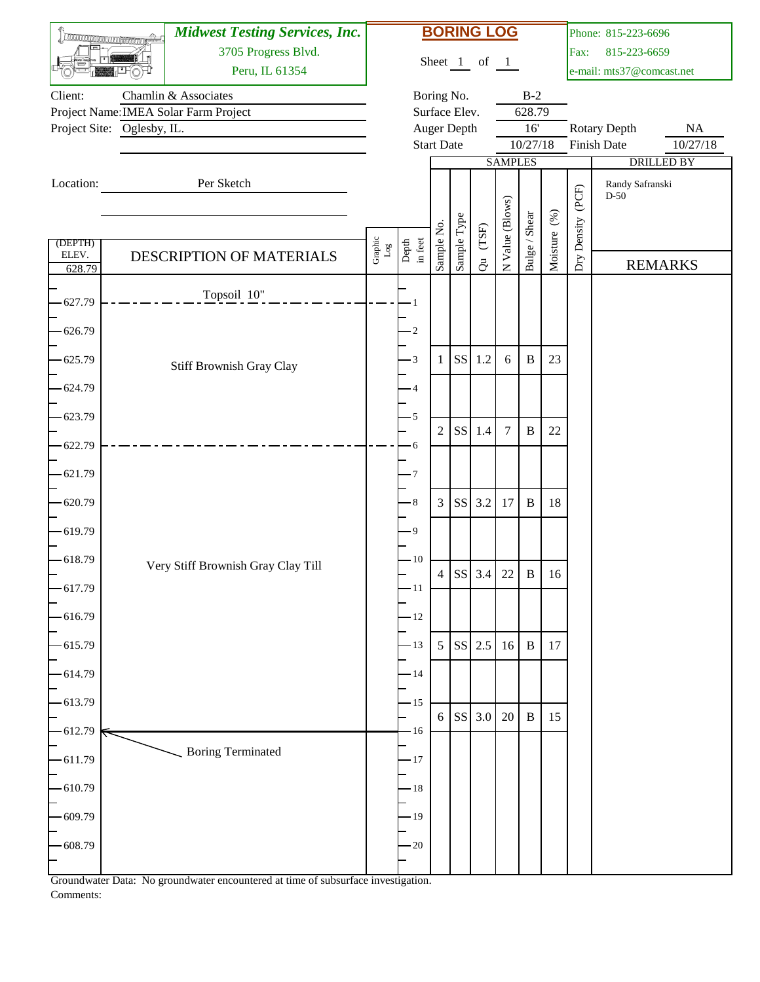|                  | <b>TROCONOMICO COMPANYIONE</b> | <b>Midwest Testing Services, Inc.</b> |                           |                  |                   |                              | <b>BORING LOG</b> |                 |               |              |             | Phone: 815-223-6696       |                   |
|------------------|--------------------------------|---------------------------------------|---------------------------|------------------|-------------------|------------------------------|-------------------|-----------------|---------------|--------------|-------------|---------------------------|-------------------|
|                  |                                | 3705 Progress Blvd.                   |                           |                  |                   |                              | Sheet 1 of 1      |                 |               |              | Fax:        | 815-223-6659              |                   |
|                  |                                | Peru, IL 61354                        |                           |                  |                   |                              |                   |                 |               |              |             | e-mail: mts37@comcast.net |                   |
| Client:          |                                | Chamlin & Associates                  |                           |                  |                   | Boring No.                   |                   |                 | $B-2$         |              |             |                           |                   |
|                  | Project Site: Oglesby, IL.     | Project Name: IMEA Solar Farm Project |                           |                  |                   | Surface Elev.<br>Auger Depth |                   |                 | 628.79<br>16' |              |             | Rotary Depth              | $\rm NA$          |
|                  |                                |                                       |                           |                  | <b>Start Date</b> |                              |                   |                 | 10/27/18      |              |             | Finish Date               | 10/27/18          |
|                  |                                |                                       |                           |                  |                   |                              |                   | <b>SAMPLES</b>  |               |              |             |                           | <b>DRILLED BY</b> |
| Location:        |                                | Per Sketch                            |                           |                  |                   |                              |                   |                 |               |              |             | Randy Safranski           |                   |
|                  |                                |                                       |                           |                  |                   |                              |                   |                 |               |              | (PCF)       | $D-50$                    |                   |
|                  |                                |                                       |                           |                  |                   | Sample Type                  |                   | N Value (Blows) | Bulge / Shear | Moisture (%) |             |                           |                   |
| (DEPTH)<br>ELEV. |                                | DESCRIPTION OF MATERIALS              | Graphic $_{\texttt{Log}}$ | Depth<br>in feet | Sample No.        |                              | $(T\mathrm{SF})$  |                 |               |              | Dry Density |                           |                   |
| 628.79           |                                |                                       |                           |                  |                   |                              | $\ddot{\sigma}$   |                 |               |              |             |                           | <b>REMARKS</b>    |
| 627.79           |                                | Topsoil 10"                           |                           |                  |                   |                              |                   |                 |               |              |             |                           |                   |
|                  |                                |                                       |                           |                  |                   |                              |                   |                 |               |              |             |                           |                   |
| 626.79           |                                |                                       |                           | $\cdot 2$        |                   |                              |                   |                 |               |              |             |                           |                   |
| 625.79           |                                | Stiff Brownish Gray Clay              |                           | $-3$             | 1                 | <b>SS</b>                    | 1.2               | 6               | $\, {\bf B}$  | 23           |             |                           |                   |
| 624.79           |                                |                                       |                           | -4               |                   |                              |                   |                 |               |              |             |                           |                   |
| 623.79           |                                |                                       |                           | $-5$             | $\overline{2}$    | <b>SS</b>                    | 1.4               | $\overline{7}$  | $\, {\bf B}$  | 22           |             |                           |                   |
| 622.79           |                                |                                       |                           | - 6              |                   |                              |                   |                 |               |              |             |                           |                   |
| 621.79           |                                |                                       |                           | - 7              |                   |                              |                   |                 |               |              |             |                           |                   |
| 620.79           |                                |                                       |                           | $\cdot$ 8        | 3                 | <b>SS</b>                    | 3.2               | 17              | $\, {\bf B}$  | 18           |             |                           |                   |
| $-619.79$        |                                |                                       |                           | - 9              |                   |                              |                   |                 |               |              |             |                           |                   |
| 618.79           |                                | Very Stiff Brownish Gray Clay Till    |                           | $-10$            |                   |                              |                   |                 |               |              |             |                           |                   |
| 617.79           |                                |                                       |                           | $-11$            |                   |                              | SS 3.4 22         |                 | $\mathbf{B}$  | 16           |             |                           |                   |
| 616.79           |                                |                                       |                           | $-12$            |                   |                              |                   |                 |               |              |             |                           |                   |
| 615.79           |                                |                                       |                           | $-13$            | 5                 |                              | SS 2.5            | 16              | $\, {\bf B}$  | 17           |             |                           |                   |
| 614.79           |                                |                                       |                           | $-14$            |                   |                              |                   |                 |               |              |             |                           |                   |
| -613.79          |                                |                                       |                           | $-15$            | 6                 |                              | SS 3.0            | 20              | $\, {\bf B}$  | 15           |             |                           |                   |
| $-612.79$        |                                |                                       |                           | $-16$            |                   |                              |                   |                 |               |              |             |                           |                   |
| 611.79           |                                | <b>Boring Terminated</b>              |                           | $-17$            |                   |                              |                   |                 |               |              |             |                           |                   |
| $-610.79$        |                                |                                       |                           | $-18$            |                   |                              |                   |                 |               |              |             |                           |                   |
| $-609.79$        |                                |                                       |                           | $-19$            |                   |                              |                   |                 |               |              |             |                           |                   |
| 608.79           |                                |                                       |                           | $-20$            |                   |                              |                   |                 |               |              |             |                           |                   |
|                  |                                |                                       |                           |                  |                   |                              |                   |                 |               |              |             |                           |                   |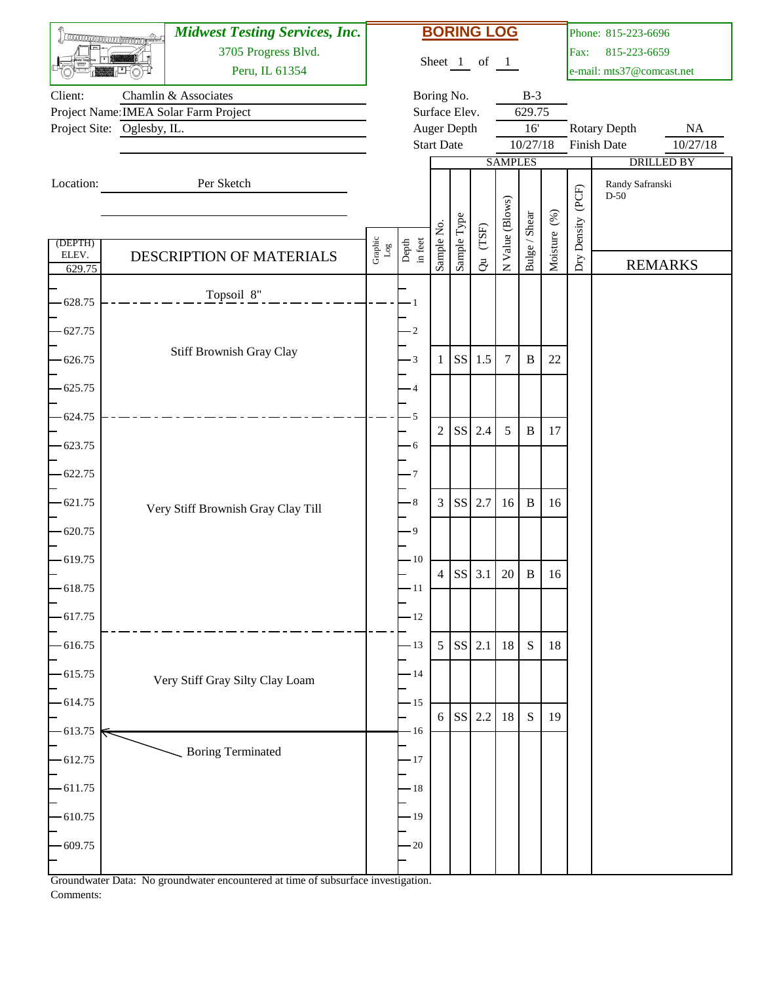|                 | <b>TROCARROOCOCOCOCOCOCOCOCO</b> | <b>Midwest Testing Services, Inc.</b> |                           |                  |                   |                        | <b>BORING LOG</b> |                 |               |              |             | Phone: 815-223-6696         |                      |
|-----------------|----------------------------------|---------------------------------------|---------------------------|------------------|-------------------|------------------------|-------------------|-----------------|---------------|--------------|-------------|-----------------------------|----------------------|
|                 |                                  | 3705 Progress Blvd.                   |                           |                  |                   |                        | Sheet 1 of 1      |                 |               |              | Fax:        | 815-223-6659                |                      |
|                 |                                  | Peru, IL 61354                        |                           |                  |                   |                        |                   |                 |               |              |             | e-mail: mts37@comcast.net   |                      |
| Client:         |                                  | Chamlin & Associates                  |                           |                  |                   | Boring No.             |                   |                 | $B-3$         |              |             |                             |                      |
|                 |                                  | Project Name: IMEA Solar Farm Project |                           |                  |                   | Surface Elev.          |                   |                 | 629.75<br>16' |              |             |                             |                      |
|                 | Project Site: Oglesby, IL.       |                                       |                           |                  | <b>Start Date</b> | Auger Depth            |                   |                 | 10/27/18      |              |             | Rotary Depth<br>Finish Date | $\rm NA$<br>10/27/18 |
|                 |                                  |                                       |                           |                  |                   |                        |                   | <b>SAMPLES</b>  |               |              |             |                             | <b>DRILLED BY</b>    |
| Location:       |                                  | Per Sketch                            |                           |                  |                   |                        |                   |                 |               |              |             | Randy Safranski             |                      |
|                 |                                  |                                       |                           |                  |                   |                        |                   |                 |               |              | (PCF)       | $D-50$                      |                      |
|                 |                                  |                                       |                           |                  |                   |                        |                   |                 |               |              |             |                             |                      |
| (DEPTH)         |                                  |                                       |                           |                  | Sample No.        | Sample Type            | $(T\mathrm{SF})$  | N Value (Blows) | Bulge / Shear | Moisture (%) | Dry Density |                             |                      |
| ELEV.<br>629.75 |                                  | DESCRIPTION OF MATERIALS              | Graphic $_{\texttt{Log}}$ | Depth<br>in feet |                   |                        | $\ddot{\sigma}$   |                 |               |              |             |                             | <b>REMARKS</b>       |
|                 |                                  |                                       |                           |                  |                   |                        |                   |                 |               |              |             |                             |                      |
| 628.75          |                                  | Topsoil 8"                            |                           |                  |                   |                        |                   |                 |               |              |             |                             |                      |
| 627.75          |                                  |                                       |                           | $\cdot$ 2        |                   |                        |                   |                 |               |              |             |                             |                      |
|                 |                                  | Stiff Brownish Gray Clay              |                           |                  |                   |                        |                   |                 |               |              |             |                             |                      |
| 626.75          |                                  |                                       |                           | $-3$             | 1                 | <b>SS</b>              | 1.5               | $\overline{7}$  | $\, {\bf B}$  | 22           |             |                             |                      |
| 625.75          |                                  |                                       |                           | -4               |                   |                        |                   |                 |               |              |             |                             |                      |
| 624.75          |                                  |                                       |                           | 5                |                   |                        |                   |                 |               |              |             |                             |                      |
| 623.75          |                                  |                                       |                           | $-6$             | $\overline{2}$    | <b>SS</b>              | 2.4               | 5               | $\, {\bf B}$  | 17           |             |                             |                      |
| 622.75          |                                  |                                       |                           | - 7              |                   |                        |                   |                 |               |              |             |                             |                      |
| 621.75          |                                  | Very Stiff Brownish Gray Clay Till    |                           | $\,8\,$          | 3                 | <b>SS</b>              | 2.7               | 16              | $\, {\bf B}$  | 16           |             |                             |                      |
| $-620.75$       |                                  |                                       |                           | - 9              |                   |                        |                   |                 |               |              |             |                             |                      |
| 619.75          |                                  |                                       |                           | $-10$            |                   |                        |                   |                 |               |              |             |                             |                      |
| 618.75          |                                  |                                       |                           | $-11$            |                   |                        | SS 3.1 20         |                 | $\mathbf{B}$  | 16           |             |                             |                      |
| 617.75          |                                  |                                       |                           | $-12$            |                   |                        |                   |                 |               |              |             |                             |                      |
| 616.75          |                                  |                                       |                           | $-13$            | 5                 | $\mathbf{S}\mathbf{S}$ | 2.1               | 18              | ${\bf S}$     | $18\,$       |             |                             |                      |
| 615.75          |                                  | Very Stiff Gray Silty Clay Loam       |                           | $-14$            |                   |                        |                   |                 |               |              |             |                             |                      |
| $-614.75$       |                                  |                                       |                           | $-15$            | 6                 |                        | SS 2.2            | 18              | S             | 19           |             |                             |                      |
| 613.75          |                                  |                                       |                           | $-16$            |                   |                        |                   |                 |               |              |             |                             |                      |
| 612.75          |                                  | <b>Boring Terminated</b>              |                           | $-17$            |                   |                        |                   |                 |               |              |             |                             |                      |
| $-611.75$       |                                  |                                       |                           | $-18$            |                   |                        |                   |                 |               |              |             |                             |                      |
| $-610.75$       |                                  |                                       |                           | $-19$            |                   |                        |                   |                 |               |              |             |                             |                      |
| 609.75          |                                  |                                       |                           | $-20$            |                   |                        |                   |                 |               |              |             |                             |                      |
|                 |                                  |                                       |                           |                  |                   |                        |                   |                 |               |              |             |                             |                      |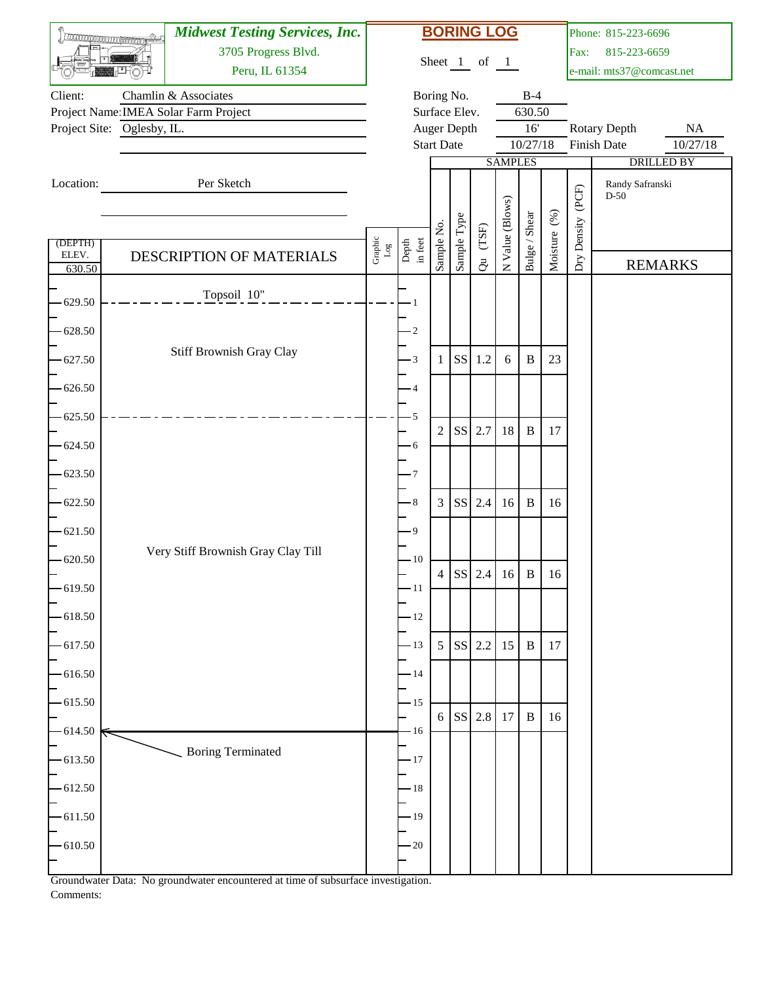|                 |                            | <b>Midwest Testing Services, Inc.</b> |                           |                  |                   |               | <b>BORING LOG</b> |                 |               |              |             | Phone: 815-223-6696         |                      |
|-----------------|----------------------------|---------------------------------------|---------------------------|------------------|-------------------|---------------|-------------------|-----------------|---------------|--------------|-------------|-----------------------------|----------------------|
|                 |                            | 3705 Progress Blvd.                   |                           |                  |                   |               | Sheet 1 of 1      |                 |               |              | Fax:        | 815-223-6659                |                      |
|                 |                            | Peru, IL 61354                        |                           |                  |                   |               |                   |                 |               |              |             | e-mail: mts37@comcast.net   |                      |
| Client:         |                            | Chamlin & Associates                  |                           |                  |                   | Boring No.    |                   |                 | $B-4$         |              |             |                             |                      |
|                 |                            | Project Name: IMEA Solar Farm Project |                           |                  |                   | Surface Elev. |                   |                 | 630.50<br>16' |              |             |                             |                      |
|                 | Project Site: Oglesby, IL. |                                       |                           |                  | <b>Start Date</b> | Auger Depth   |                   |                 | 10/27/18      |              |             | Rotary Depth<br>Finish Date | $\rm NA$<br>10/27/18 |
|                 |                            |                                       |                           |                  |                   |               |                   | <b>SAMPLES</b>  |               |              |             |                             | <b>DRILLED BY</b>    |
| Location:       |                            | Per Sketch                            |                           |                  |                   |               |                   |                 |               |              |             | Randy Safranski             |                      |
|                 |                            |                                       |                           |                  |                   |               |                   |                 |               |              | (PCF)       | $D-50$                      |                      |
|                 |                            |                                       |                           |                  |                   |               |                   |                 |               |              |             |                             |                      |
| (DEPTH)         |                            |                                       | Graphic $_{\texttt{Log}}$ | Depth<br>in feet | Sample No.        | Sample Type   | $(T\mathrm{SF})$  | N Value (Blows) | Bulge / Shear | Moisture (%) | Dry Density |                             |                      |
| ELEV.<br>630.50 |                            | DESCRIPTION OF MATERIALS              |                           |                  |                   |               | $\ddot{\sigma}$   |                 |               |              |             |                             | <b>REMARKS</b>       |
|                 |                            |                                       |                           |                  |                   |               |                   |                 |               |              |             |                             |                      |
| 629.50          |                            | Topsoil 10"                           |                           |                  |                   |               |                   |                 |               |              |             |                             |                      |
| 628.50          |                            |                                       |                           | $\cdot$ 2        |                   |               |                   |                 |               |              |             |                             |                      |
|                 |                            | Stiff Brownish Gray Clay              |                           |                  |                   |               |                   |                 |               |              |             |                             |                      |
| 627.50          |                            |                                       |                           | $-3$             | 1                 | <b>SS</b>     | 1.2               | 6               | $\, {\bf B}$  | 23           |             |                             |                      |
| $-626.50$       |                            |                                       |                           | $\overline{4}$   |                   |               |                   |                 |               |              |             |                             |                      |
| 625.50          |                            |                                       |                           | 5                |                   |               |                   |                 |               |              |             |                             |                      |
| 624.50          |                            |                                       |                           | $-6$             | $\overline{2}$    | <b>SS</b>     | 2.7               | 18              | $\, {\bf B}$  | 17           |             |                             |                      |
| 623.50          |                            |                                       |                           | - 7              |                   |               |                   |                 |               |              |             |                             |                      |
| 622.50          |                            |                                       |                           | $\,8\,$          | 3                 | <b>SS</b>     | 2.4               | 16              | $\, {\bf B}$  | 16           |             |                             |                      |
| $-621.50$       |                            |                                       |                           | - 9              |                   |               |                   |                 |               |              |             |                             |                      |
| 620.50          |                            | Very Stiff Brownish Gray Clay Till    |                           | $-10$            |                   |               | SS 2.4 16         |                 | $\mathbf{B}$  | 16           |             |                             |                      |
| 619.50          |                            |                                       |                           | $-11$            |                   |               |                   |                 |               |              |             |                             |                      |
| 618.50          |                            |                                       |                           | $-12$            |                   |               |                   |                 |               |              |             |                             |                      |
| 617.50          |                            |                                       |                           | $-13$            | 5                 |               | SS 2.2            | 15              | $\, {\bf B}$  | 17           |             |                             |                      |
| $-616.50$       |                            |                                       |                           | $-14$            |                   |               |                   |                 |               |              |             |                             |                      |
| $-615.50$       |                            |                                       |                           | $-15$            | 6                 |               | SS 2.8 17         |                 | $\, {\bf B}$  | 16           |             |                             |                      |
| 614.50          |                            |                                       |                           | $-16$            |                   |               |                   |                 |               |              |             |                             |                      |
| 613.50          |                            | <b>Boring Terminated</b>              |                           | $-17$            |                   |               |                   |                 |               |              |             |                             |                      |
| $-612.50$       |                            |                                       |                           | $-18$            |                   |               |                   |                 |               |              |             |                             |                      |
| $-611.50$       |                            |                                       |                           | $-19$            |                   |               |                   |                 |               |              |             |                             |                      |
| 610.50          |                            |                                       |                           | $-20$            |                   |               |                   |                 |               |              |             |                             |                      |
|                 |                            |                                       |                           |                  |                   |               |                   |                 |               |              |             |                             |                      |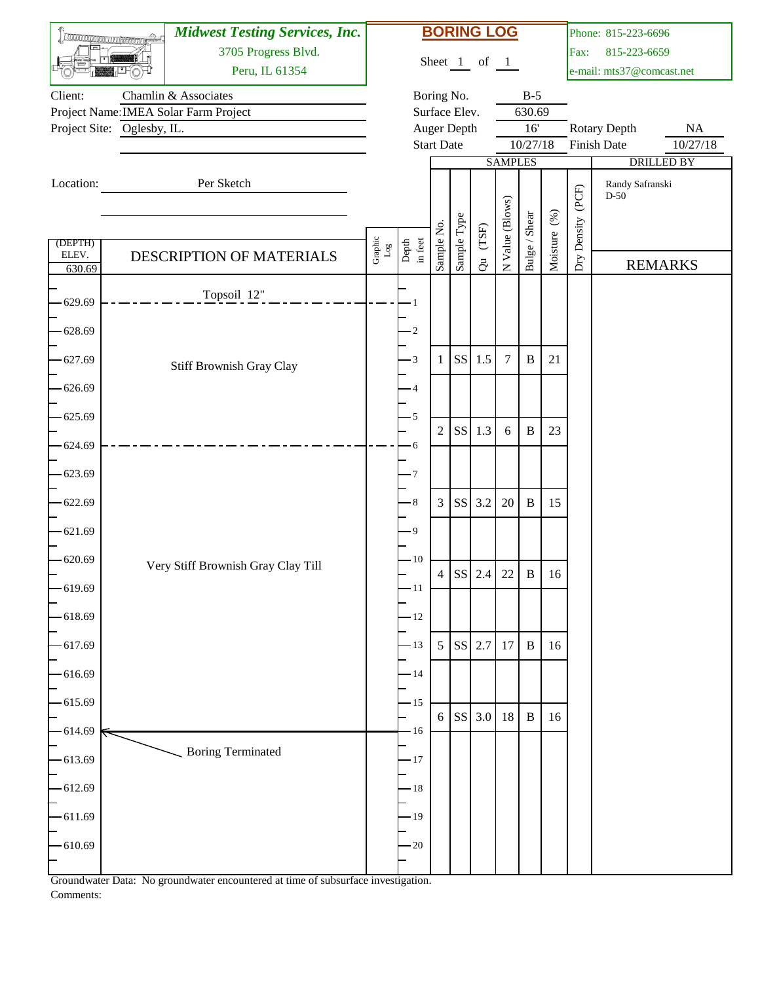|                 | <b>TROCONOMICO COMPANYIONE</b> | <b>Midwest Testing Services, Inc.</b> |                           |                  |                   |                 | <b>BORING LOG</b> |                 |               |              |             | Phone: 815-223-6696         |                      |
|-----------------|--------------------------------|---------------------------------------|---------------------------|------------------|-------------------|-----------------|-------------------|-----------------|---------------|--------------|-------------|-----------------------------|----------------------|
|                 |                                | 3705 Progress Blvd.                   |                           |                  |                   |                 | Sheet 1 of 1      |                 |               |              | Fax:        | 815-223-6659                |                      |
|                 |                                | Peru, IL 61354                        |                           |                  |                   |                 |                   |                 |               |              |             | e-mail: mts37@comcast.net   |                      |
| Client:         |                                | Chamlin & Associates                  |                           |                  |                   | Boring No.      |                   |                 | $B-5$         |              |             |                             |                      |
|                 |                                | Project Name: IMEA Solar Farm Project |                           |                  |                   | Surface Elev.   |                   |                 | 630.69<br>16' |              |             |                             |                      |
|                 | Project Site: Oglesby, IL.     |                                       |                           |                  | <b>Start Date</b> | Auger Depth     |                   |                 | 10/27/18      |              |             | Rotary Depth<br>Finish Date | $\rm NA$<br>10/27/18 |
|                 |                                |                                       |                           |                  |                   |                 |                   | <b>SAMPLES</b>  |               |              |             |                             | <b>DRILLED BY</b>    |
| Location:       |                                | Per Sketch                            |                           |                  |                   |                 |                   |                 |               |              |             | Randy Safranski             |                      |
|                 |                                |                                       |                           |                  |                   |                 |                   |                 |               |              | (PCF)       | $D-50$                      |                      |
|                 |                                |                                       |                           |                  |                   | Sample Type     |                   | N Value (Blows) | Bulge / Shear | Moisture (%) |             |                             |                      |
| (DEPTH)         |                                |                                       | Graphic $_{\texttt{Log}}$ | Depth<br>in feet | Sample No.        |                 | $(T\mathrm{SF})$  |                 |               |              | Dry Density |                             |                      |
| ELEV.<br>630.69 |                                | DESCRIPTION OF MATERIALS              |                           |                  |                   |                 | $\ddot{\sigma}$   |                 |               |              |             |                             | <b>REMARKS</b>       |
|                 |                                | Topsoil 12"                           |                           |                  |                   |                 |                   |                 |               |              |             |                             |                      |
| 629.69          |                                |                                       |                           |                  |                   |                 |                   |                 |               |              |             |                             |                      |
| 628.69          |                                |                                       |                           | $\cdot 2$        |                   |                 |                   |                 |               |              |             |                             |                      |
| 627.69          |                                |                                       |                           | $-3$             | 1                 | <b>SS</b>       | 1.5               | $\overline{7}$  | $\, {\bf B}$  | 21           |             |                             |                      |
| 626.69          |                                | Stiff Brownish Gray Clay              |                           | -4               |                   |                 |                   |                 |               |              |             |                             |                      |
|                 |                                |                                       |                           |                  |                   |                 |                   |                 |               |              |             |                             |                      |
| 625.69          |                                |                                       |                           | $-5$             | $\overline{2}$    | <b>SS</b>       | 1.3               | 6               | $\, {\bf B}$  | 23           |             |                             |                      |
| 624.69          |                                |                                       |                           | - 6              |                   |                 |                   |                 |               |              |             |                             |                      |
| 623.69          |                                |                                       |                           | - 7              |                   |                 |                   |                 |               |              |             |                             |                      |
| 622.69          |                                |                                       |                           | $\,8\,$          | 3                 | <b>SS</b>       | 3.2               | 20              | $\, {\bf B}$  | 15           |             |                             |                      |
| $-621.69$       |                                |                                       |                           | - 9              |                   |                 |                   |                 |               |              |             |                             |                      |
| 620.69          |                                | Very Stiff Brownish Gray Clay Till    |                           | $-10$            |                   |                 |                   |                 |               |              |             |                             |                      |
| 619.69          |                                |                                       |                           | $-11$            |                   |                 | SS 2.4 22         |                 | $\mathbf{B}$  | 16           |             |                             |                      |
| 618.69          |                                |                                       |                           | $-12$            |                   |                 |                   |                 |               |              |             |                             |                      |
| 617.69          |                                |                                       |                           | $-13$            | 5                 | SS <sup>1</sup> | 2.7               | 17              | $\, {\bf B}$  | 16           |             |                             |                      |
| 616.69          |                                |                                       |                           | $-14$            |                   |                 |                   |                 |               |              |             |                             |                      |
| $-615.69$       |                                |                                       |                           | $-15$            |                   |                 |                   |                 |               |              |             |                             |                      |
| 614.69          |                                |                                       |                           | $-16$            | 6                 |                 | SS 3.0            | 18              | $\, {\bf B}$  | 16           |             |                             |                      |
| 613.69          |                                | <b>Boring Terminated</b>              |                           | $-17$            |                   |                 |                   |                 |               |              |             |                             |                      |
| $-612.69$       |                                |                                       |                           | $-18$            |                   |                 |                   |                 |               |              |             |                             |                      |
| $-611.69$       |                                |                                       |                           | $-19$            |                   |                 |                   |                 |               |              |             |                             |                      |
| 610.69          |                                |                                       |                           | $-20$            |                   |                 |                   |                 |               |              |             |                             |                      |
|                 |                                |                                       |                           |                  |                   |                 |                   |                 |               |              |             |                             |                      |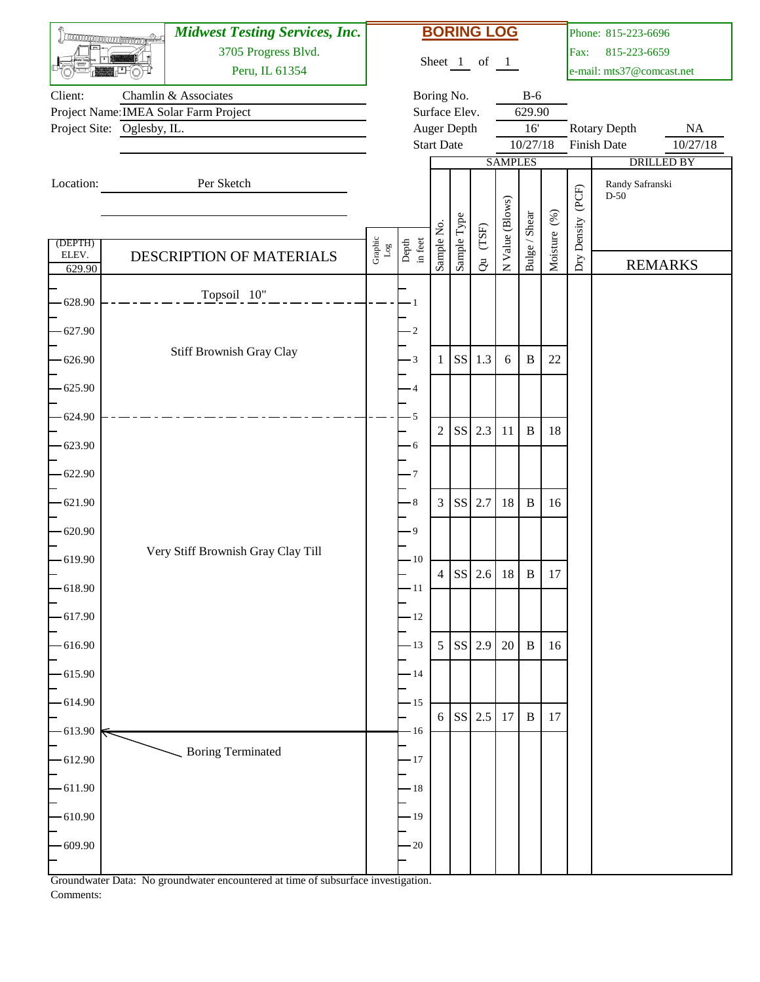|                  | <b>TROCONOMICO COMPANYIONE</b> | <b>Midwest Testing Services, Inc.</b> |                           |                  |                   |                              | <b>BORING LOG</b> |                 |               |              |             | Phone: 815-223-6696       |                   |
|------------------|--------------------------------|---------------------------------------|---------------------------|------------------|-------------------|------------------------------|-------------------|-----------------|---------------|--------------|-------------|---------------------------|-------------------|
|                  |                                | 3705 Progress Blvd.                   |                           |                  |                   |                              | Sheet 1 of 1      |                 |               |              | Fax:        | 815-223-6659              |                   |
|                  |                                | Peru, IL 61354                        |                           |                  |                   |                              |                   |                 |               |              |             | e-mail: mts37@comcast.net |                   |
| Client:          |                                | Chamlin & Associates                  |                           |                  |                   | Boring No.                   |                   |                 | $B-6$         |              |             |                           |                   |
|                  | Project Site: Oglesby, IL.     | Project Name: IMEA Solar Farm Project |                           |                  |                   | Surface Elev.<br>Auger Depth |                   |                 | 629.90<br>16' |              |             | Rotary Depth              | $\rm NA$          |
|                  |                                |                                       |                           |                  | <b>Start Date</b> |                              |                   |                 | 10/27/18      |              |             | Finish Date               | 10/27/18          |
|                  |                                |                                       |                           |                  |                   |                              |                   | <b>SAMPLES</b>  |               |              |             |                           | <b>DRILLED BY</b> |
| Location:        |                                | Per Sketch                            |                           |                  |                   |                              |                   |                 |               |              |             | Randy Safranski<br>$D-50$ |                   |
|                  |                                |                                       |                           |                  |                   |                              |                   | N Value (Blows) |               |              | (PCF)       |                           |                   |
|                  |                                |                                       |                           |                  |                   | Sample Type                  | $(T\mathrm{SF})$  |                 | Bulge / Shear | Moisture (%) | Dry Density |                           |                   |
| (DEPTH)<br>ELEV. |                                | DESCRIPTION OF MATERIALS              | Graphic $_{\texttt{Log}}$ | Depth<br>in feet | Sample No.        |                              |                   |                 |               |              |             |                           |                   |
| 629.90           |                                |                                       |                           |                  |                   |                              | $\ddot{\sigma}$   |                 |               |              |             |                           | <b>REMARKS</b>    |
| 628.90           |                                | Topsoil 10"                           |                           |                  |                   |                              |                   |                 |               |              |             |                           |                   |
| 627.90           |                                |                                       |                           | $\cdot$ 2        |                   |                              |                   |                 |               |              |             |                           |                   |
| 626.90           |                                | Stiff Brownish Gray Clay              |                           | $-3$             | 1                 | <b>SS</b>                    | 1.3               | 6               | $\, {\bf B}$  | 22           |             |                           |                   |
| 625.90           |                                |                                       |                           | $\overline{4}$   |                   |                              |                   |                 |               |              |             |                           |                   |
| 624.90           |                                |                                       |                           | 5                | $\overline{2}$    | <b>SS</b>                    | 2.3               | 11              | $\, {\bf B}$  | 18           |             |                           |                   |
| 623.90           |                                |                                       |                           | $-6$             |                   |                              |                   |                 |               |              |             |                           |                   |
| 622.90           |                                |                                       |                           | - 7              |                   |                              |                   |                 |               |              |             |                           |                   |
| 621.90           |                                |                                       |                           | $\,8\,$          | 3                 | <b>SS</b>                    | 2.7               | 18              | $\, {\bf B}$  | 16           |             |                           |                   |
| $-620.90$        |                                |                                       |                           | - 9              |                   |                              |                   |                 |               |              |             |                           |                   |
| 619.90           |                                | Very Stiff Brownish Gray Clay Till    |                           | $-10$            |                   |                              | SS 2.6 18         |                 | $\mathbf{B}$  | $17\,$       |             |                           |                   |
| 618.90           |                                |                                       |                           | $-11$            |                   |                              |                   |                 |               |              |             |                           |                   |
| 617.90           |                                |                                       |                           | $-12$            |                   |                              |                   |                 |               |              |             |                           |                   |
| 616.90           |                                |                                       |                           | $-13$            | 5                 | SS <sup>1</sup>              | 2.9               | 20              | $\, {\bf B}$  | 16           |             |                           |                   |
| 615.90           |                                |                                       |                           | $-14$            |                   |                              |                   |                 |               |              |             |                           |                   |
| 614.90           |                                |                                       |                           | $-15$            | 6                 |                              | SS 2.5            | 17              | $\, {\bf B}$  | 17           |             |                           |                   |
| 613.90           |                                |                                       |                           | $-16$            |                   |                              |                   |                 |               |              |             |                           |                   |
| 612.90           |                                | <b>Boring Terminated</b>              |                           | $-17$            |                   |                              |                   |                 |               |              |             |                           |                   |
| $-611.90$        |                                |                                       |                           | $-18$            |                   |                              |                   |                 |               |              |             |                           |                   |
| $-610.90$        |                                |                                       |                           | $-19$            |                   |                              |                   |                 |               |              |             |                           |                   |
| 609.90           |                                |                                       |                           | $-20$            |                   |                              |                   |                 |               |              |             |                           |                   |
|                  |                                |                                       |                           |                  |                   |                              |                   |                 |               |              |             |                           |                   |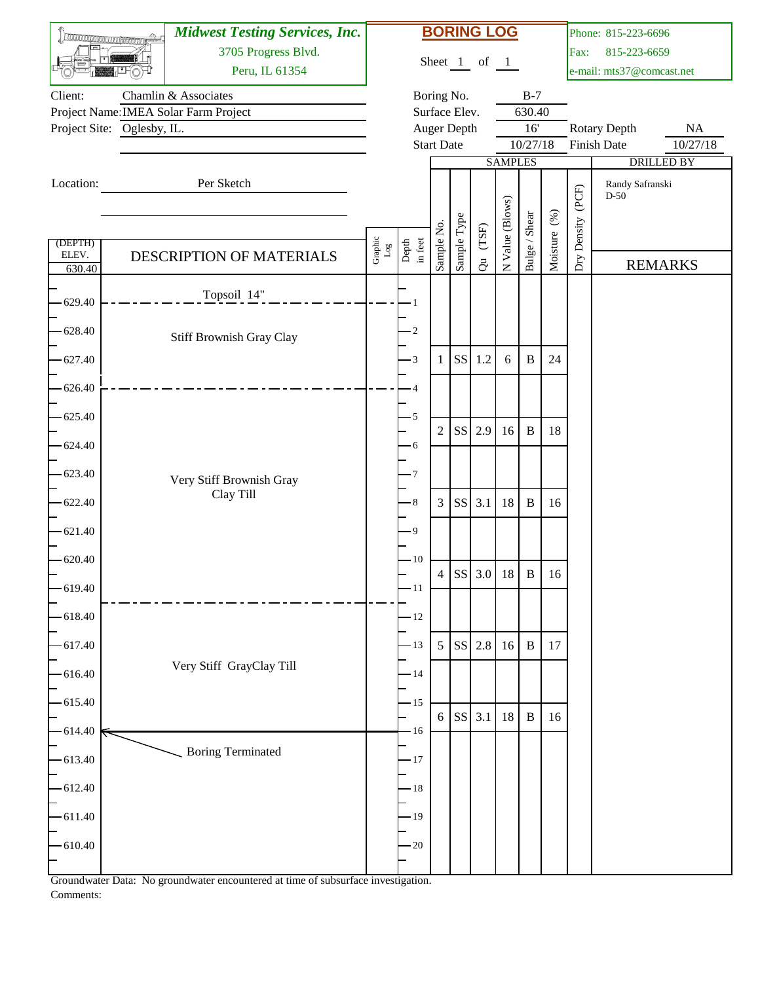| <b>TROCARDO CON CONTRACTOR</b> |                            | <b>Midwest Testing Services, Inc.</b> |                      |                  |                   |               | <b>BORING LOG</b> |                 |               |              |             | Phone: 815-223-6696                       |                      |
|--------------------------------|----------------------------|---------------------------------------|----------------------|------------------|-------------------|---------------|-------------------|-----------------|---------------|--------------|-------------|-------------------------------------------|----------------------|
|                                |                            | 3705 Progress Blvd.                   |                      |                  |                   |               | Sheet 1 of 1      |                 |               |              | Fax:        | 815-223-6659                              |                      |
|                                |                            | Peru, IL 61354                        |                      |                  |                   |               |                   |                 |               |              |             | e-mail: mts37@comcast.net                 |                      |
| Client:                        |                            | Chamlin & Associates                  |                      |                  |                   | Boring No.    |                   |                 | $B-7$         |              |             |                                           |                      |
|                                | Project Site: Oglesby, IL. | Project Name: IMEA Solar Farm Project |                      |                  |                   | Surface Elev. |                   |                 | 630.40<br>16' |              |             |                                           |                      |
|                                |                            |                                       |                      |                  | <b>Start Date</b> | Auger Depth   |                   |                 | 10/27/18      |              |             | <b>Rotary Depth</b><br><b>Finish Date</b> | $\rm NA$<br>10/27/18 |
|                                |                            |                                       |                      |                  |                   |               |                   | <b>SAMPLES</b>  |               |              |             |                                           | <b>DRILLED BY</b>    |
| Location:                      |                            | Per Sketch                            |                      |                  |                   |               |                   |                 |               |              |             | Randy Safranski                           |                      |
|                                |                            |                                       |                      |                  |                   |               |                   |                 |               |              | (PCF)       | $D-50$                                    |                      |
|                                |                            |                                       |                      |                  |                   |               |                   | N Value (Blows) |               |              |             |                                           |                      |
| (DEPTH)                        |                            |                                       |                      |                  | Sample No.        | Sample Type   | $(T\mathrm{SF})$  |                 | Bulge / Shear | Moisture (%) | Dry Density |                                           |                      |
| ELEV.                          |                            | DESCRIPTION OF MATERIALS              | Graphic $_{\rm Log}$ | Depth<br>in feet |                   |               | $\ddot{\sigma}$   |                 |               |              |             |                                           | <b>REMARKS</b>       |
| 630.40                         |                            |                                       |                      |                  |                   |               |                   |                 |               |              |             |                                           |                      |
| 629.40                         |                            | Topsoil 14"                           |                      |                  |                   |               |                   |                 |               |              |             |                                           |                      |
|                                |                            |                                       |                      |                  |                   |               |                   |                 |               |              |             |                                           |                      |
| 628.40                         |                            | Stiff Brownish Gray Clay              |                      | $\cdot$ 2        |                   |               |                   |                 |               |              |             |                                           |                      |
| 627.40                         |                            |                                       |                      | $-3$             | 1                 | <b>SS</b>     | 1.2               | 6               | $\, {\bf B}$  | 24           |             |                                           |                      |
| 626.40                         |                            |                                       |                      | 4                |                   |               |                   |                 |               |              |             |                                           |                      |
|                                |                            |                                       |                      |                  |                   |               |                   |                 |               |              |             |                                           |                      |
| 625.40                         |                            |                                       |                      | -5               | $\overline{2}$    | <b>SS</b>     | 2.9               | 16              | $\, {\bf B}$  | 18           |             |                                           |                      |
| 624.40                         |                            |                                       |                      | - 6              |                   |               |                   |                 |               |              |             |                                           |                      |
|                                |                            |                                       |                      |                  |                   |               |                   |                 |               |              |             |                                           |                      |
| 623.40                         |                            | Very Stiff Brownish Gray              |                      | - 7              |                   |               |                   |                 |               |              |             |                                           |                      |
| 622.40                         |                            | Clay Till                             |                      | - 8              | 3                 | <b>SS</b>     | 3.1               | 18              | $\, {\bf B}$  | 16           |             |                                           |                      |
| $-621.40$                      |                            |                                       |                      | - 9              |                   |               |                   |                 |               |              |             |                                           |                      |
|                                |                            |                                       |                      |                  |                   |               |                   |                 |               |              |             |                                           |                      |
| 620.40                         |                            |                                       |                      | $-10$            |                   |               | SS 3.0 18         |                 | B             | 16           |             |                                           |                      |
| 619.40                         |                            |                                       |                      | $-11$            |                   |               |                   |                 |               |              |             |                                           |                      |
| 618.40                         |                            |                                       |                      | $-12$            |                   |               |                   |                 |               |              |             |                                           |                      |
|                                |                            |                                       |                      |                  |                   |               |                   |                 |               |              |             |                                           |                      |
| 617.40                         |                            |                                       |                      | $-13$            | $\mathfrak s$     |               | SS 2.8            | 16              | $\, {\bf B}$  | 17           |             |                                           |                      |
| 616.40                         |                            | Very Stiff GrayClay Till              |                      | $-14$            |                   |               |                   |                 |               |              |             |                                           |                      |
| 615.40                         |                            |                                       |                      | $-15$            |                   |               |                   |                 |               |              |             |                                           |                      |
|                                |                            |                                       |                      |                  | 6                 |               | SS 3.1            | 18              | $\, {\bf B}$  | 16           |             |                                           |                      |
| 614.40                         |                            |                                       |                      | $-16$            |                   |               |                   |                 |               |              |             |                                           |                      |
| 613.40                         |                            | <b>Boring Terminated</b>              |                      | $-17$            |                   |               |                   |                 |               |              |             |                                           |                      |
|                                |                            |                                       |                      |                  |                   |               |                   |                 |               |              |             |                                           |                      |
| 612.40                         |                            |                                       |                      | $-18$            |                   |               |                   |                 |               |              |             |                                           |                      |
| 611.40                         |                            |                                       |                      | $-19$            |                   |               |                   |                 |               |              |             |                                           |                      |
| 610.40                         |                            |                                       |                      | $-20$            |                   |               |                   |                 |               |              |             |                                           |                      |
|                                |                            |                                       |                      |                  |                   |               |                   |                 |               |              |             |                                           |                      |
|                                |                            |                                       |                      |                  |                   |               |                   |                 |               |              |             |                                           |                      |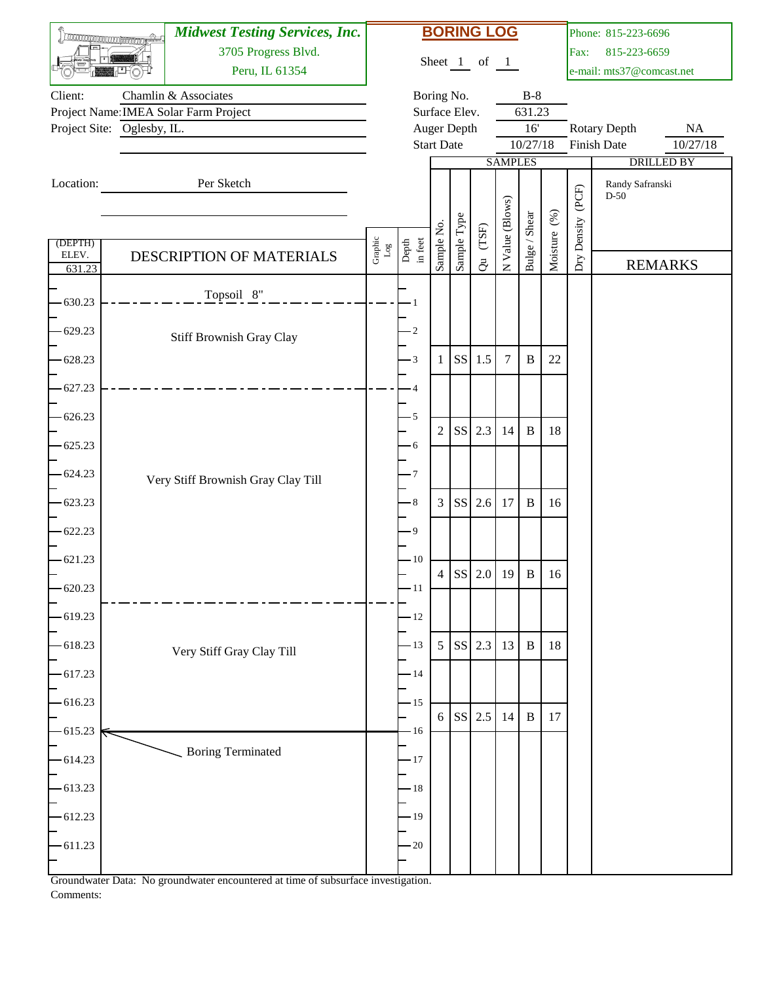|                  | <b>Thursday and Contractor</b> | <b>Midwest Testing Services, Inc.</b> |                      |                  |                   |                              | <b>BORING LOG</b> |                 |               |              |             | Phone: 815-223-6696       |                   |
|------------------|--------------------------------|---------------------------------------|----------------------|------------------|-------------------|------------------------------|-------------------|-----------------|---------------|--------------|-------------|---------------------------|-------------------|
|                  |                                | 3705 Progress Blvd.                   |                      |                  |                   |                              | Sheet 1 of 1      |                 |               |              | Fax:        | 815-223-6659              |                   |
|                  |                                | Peru, IL 61354                        |                      |                  |                   |                              |                   |                 |               |              |             | e-mail: mts37@comcast.net |                   |
| Client:          |                                | Chamlin & Associates                  |                      |                  |                   | Boring No.                   |                   |                 | $B-8$         |              |             |                           |                   |
|                  | Project Site: Oglesby, IL.     | Project Name: IMEA Solar Farm Project |                      |                  |                   | Surface Elev.<br>Auger Depth |                   |                 | 631.23<br>16' |              |             | <b>Rotary Depth</b>       | $\rm NA$          |
|                  |                                |                                       |                      |                  | <b>Start Date</b> |                              |                   |                 | 10/27/18      |              |             | <b>Finish Date</b>        | 10/27/18          |
|                  |                                |                                       |                      |                  |                   |                              |                   | <b>SAMPLES</b>  |               |              |             |                           | <b>DRILLED BY</b> |
| Location:        |                                | Per Sketch                            |                      |                  |                   |                              |                   |                 |               |              |             | Randy Safranski           |                   |
|                  |                                |                                       |                      |                  |                   |                              |                   |                 |               |              | (PCF)       | $D-50$                    |                   |
|                  |                                |                                       |                      |                  |                   |                              |                   |                 |               |              |             |                           |                   |
|                  |                                |                                       |                      |                  | Sample No.        | Sample Type                  | $(T\mathrm{SF})$  | N Value (Blows) | Bulge / Shear | Moisture (%) | Dry Density |                           |                   |
| (DEPTH)<br>ELEV. |                                | DESCRIPTION OF MATERIALS              | Graphic $_{\rm Log}$ | Depth<br>in feet |                   |                              |                   |                 |               |              |             |                           |                   |
| 631.23           |                                |                                       |                      |                  |                   |                              | $\ddot{\sigma}$   |                 |               |              |             |                           | <b>REMARKS</b>    |
| 630.23           |                                | Topsoil 8"                            |                      |                  |                   |                              |                   |                 |               |              |             |                           |                   |
| 629.23           |                                | Stiff Brownish Gray Clay              |                      | $\cdot$ 2        |                   |                              |                   |                 |               |              |             |                           |                   |
| 628.23           |                                |                                       |                      | $-3$             | 1                 | <b>SS</b>                    | 1.5               | $\tau$          | $\, {\bf B}$  | 22           |             |                           |                   |
| 627.23           |                                |                                       |                      | 4                |                   |                              |                   |                 |               |              |             |                           |                   |
| 626.23           |                                |                                       |                      | $-5$             | $\overline{2}$    | <b>SS</b>                    | 2.3               | 14              | $\, {\bf B}$  | $18\,$       |             |                           |                   |
| 625.23           |                                |                                       |                      | - 6              |                   |                              |                   |                 |               |              |             |                           |                   |
| 624.23           |                                | Very Stiff Brownish Gray Clay Till    |                      | - 7              |                   |                              |                   |                 |               |              |             |                           |                   |
| 623.23           |                                |                                       |                      | - 8              | 3                 | <b>SS</b>                    | 2.6               | 17              | $\, {\bf B}$  | 16           |             |                           |                   |
| $-622.23$        |                                |                                       |                      | - 9              |                   |                              |                   |                 |               |              |             |                           |                   |
| $-621.23$        |                                |                                       |                      | $-10$            |                   |                              | SS 2.0 19         |                 | B             | 16           |             |                           |                   |
| 620.23           |                                |                                       |                      | $-11$            |                   |                              |                   |                 |               |              |             |                           |                   |
| 619.23           |                                |                                       |                      | $-12$            |                   |                              |                   |                 |               |              |             |                           |                   |
| 618.23           |                                | Very Stiff Gray Clay Till             |                      | $-13$            | $\mathfrak s$     |                              | SS 2.3            | 13              | $\, {\bf B}$  | 18           |             |                           |                   |
| 617.23           |                                |                                       |                      | $-14$            |                   |                              |                   |                 |               |              |             |                           |                   |
| $-616.23$        |                                |                                       |                      | $-15$            | 6                 | SS <sup>1</sup>              | 2.5               | 14              | $\, {\bf B}$  | 17           |             |                           |                   |
| 615.23           |                                |                                       |                      | $-16$            |                   |                              |                   |                 |               |              |             |                           |                   |
| 614.23           |                                | <b>Boring Terminated</b>              |                      | $-17$            |                   |                              |                   |                 |               |              |             |                           |                   |
| 613.23           |                                |                                       |                      | $-18$            |                   |                              |                   |                 |               |              |             |                           |                   |
| 612.23           |                                |                                       |                      | $-19$            |                   |                              |                   |                 |               |              |             |                           |                   |
| 611.23           |                                |                                       |                      | $-20$            |                   |                              |                   |                 |               |              |             |                           |                   |
|                  |                                |                                       |                      |                  |                   |                              |                   |                 |               |              |             |                           |                   |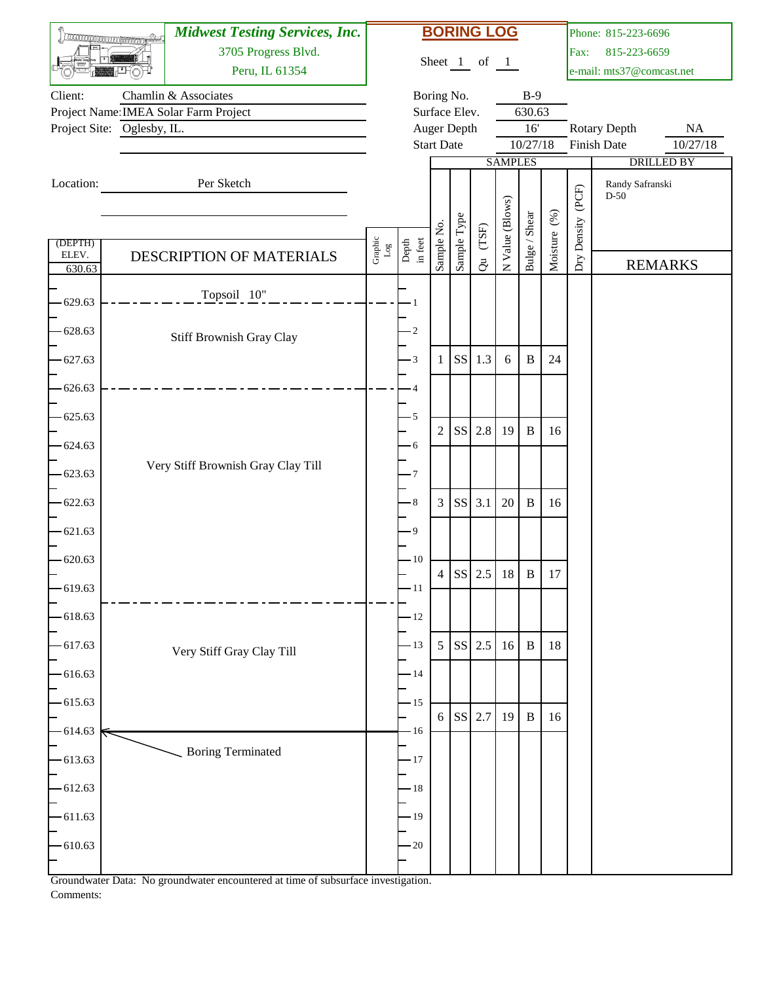|                 | <b>TROCONOMICO COMPANYONE</b> | <b>Midwest Testing Services, Inc.</b> |                           |                  |                   |               | <b>BORING LOG</b>                         |                 |                 |              |                   | Phone: 815-223-6696                |                       |
|-----------------|-------------------------------|---------------------------------------|---------------------------|------------------|-------------------|---------------|-------------------------------------------|-----------------|-----------------|--------------|-------------------|------------------------------------|-----------------------|
|                 |                               | 3705 Progress Blvd.                   |                           |                  |                   |               | Sheet 1 of 1                              |                 |                 |              | Fax:              | 815-223-6659                       |                       |
|                 |                               | Peru, IL 61354                        |                           |                  |                   |               |                                           |                 |                 |              |                   | e-mail: mts37@comcast.net          |                       |
| Client:         |                               | Chamlin & Associates                  |                           |                  |                   | Boring No.    |                                           |                 | $B-9$           |              |                   |                                    |                       |
|                 |                               | Project Name: IMEA Solar Farm Project |                           |                  |                   | Surface Elev. |                                           |                 | 630.63          |              |                   |                                    |                       |
|                 | Project Site: Oglesby, IL.    |                                       |                           |                  | <b>Start Date</b> | Auger Depth   |                                           |                 | 16'<br>10/27/18 |              |                   | <b>Rotary Depth</b><br>Finish Date | <b>NA</b><br>10/27/18 |
|                 |                               |                                       |                           |                  |                   |               |                                           | <b>SAMPLES</b>  |                 |              |                   |                                    | <b>DRILLED BY</b>     |
| Location:       |                               | Per Sketch                            |                           |                  |                   |               |                                           |                 |                 |              |                   | Randy Safranski                    |                       |
|                 |                               |                                       |                           |                  |                   |               |                                           |                 |                 |              |                   | $D-50$                             |                       |
|                 |                               |                                       |                           |                  |                   |               |                                           |                 |                 |              |                   |                                    |                       |
| (DEPTH)         |                               |                                       | Graphic $_{\texttt{Log}}$ | Depth<br>in feet | Sample No.        | Sample Type   | $(T\mathrm{SF})$                          | N Value (Blows) | Bulge / Shear   | Moisture (%) | Dry Density (PCF) |                                    |                       |
| ELEV.<br>630.63 |                               | DESCRIPTION OF MATERIALS              |                           |                  |                   |               | $\vec{c}$                                 |                 |                 |              |                   |                                    | <b>REMARKS</b>        |
|                 |                               | Topsoil 10"                           |                           |                  |                   |               |                                           |                 |                 |              |                   |                                    |                       |
| 629.63          |                               |                                       |                           |                  |                   |               |                                           |                 |                 |              |                   |                                    |                       |
| 628.63          |                               | Stiff Brownish Gray Clay              |                           | $\cdot$ 2        |                   |               |                                           |                 |                 |              |                   |                                    |                       |
| 627.63          |                               |                                       |                           | $\cdot$ 3        | $\mathbf{1}$      | <b>SS</b>     | 1.3                                       | 6               | $\, {\bf B}$    | 24           |                   |                                    |                       |
|                 |                               |                                       |                           |                  |                   |               |                                           |                 |                 |              |                   |                                    |                       |
| 626.63          |                               |                                       |                           | 4                |                   |               |                                           |                 |                 |              |                   |                                    |                       |
| 625.63          |                               |                                       |                           | 5                | $\mathfrak{2}$    | <b>SS</b>     | 2.8                                       | 19              | $\, {\bf B}$    | 16           |                   |                                    |                       |
| 624.63          |                               |                                       |                           | $\cdot$ 6        |                   |               |                                           |                 |                 |              |                   |                                    |                       |
| 623.63          |                               | Very Stiff Brownish Gray Clay Till    |                           | - 7              |                   |               |                                           |                 |                 |              |                   |                                    |                       |
|                 |                               |                                       |                           |                  |                   |               |                                           |                 |                 |              |                   |                                    |                       |
| 622.63          |                               |                                       |                           | $\cdot$ 8        | 3                 | <b>SS</b>     | 3.1                                       | 20              | $\, {\bf B}$    | 16           |                   |                                    |                       |
| 621.63          |                               |                                       |                           | - 9              |                   |               |                                           |                 |                 |              |                   |                                    |                       |
| 620.63          |                               |                                       |                           | $-10$            |                   |               |                                           |                 |                 |              |                   |                                    |                       |
| 619.63          |                               |                                       |                           | $-11$            | 4                 |               |                                           |                 |                 | $17\,$       |                   |                                    |                       |
|                 |                               |                                       |                           |                  |                   |               |                                           |                 |                 |              |                   |                                    |                       |
| 618.63          |                               |                                       |                           | $-12$            |                   |               |                                           |                 |                 |              |                   |                                    |                       |
| $-617.63$       |                               | Very Stiff Gray Clay Till             |                           | $-13$            | $5\overline{)}$   |               | $\vert$ SS $\vert$ 2.5 $\vert$ 16 $\vert$ |                 | $\, {\bf B}$    | 18           |                   |                                    |                       |
| 616.63          |                               |                                       |                           | $-14$            |                   |               |                                           |                 |                 |              |                   |                                    |                       |
| $-615.63$       |                               |                                       |                           | $-15$            |                   |               |                                           |                 |                 |              |                   |                                    |                       |
|                 |                               |                                       |                           |                  |                   |               | 6 SS 2.7                                  | 19              | $\, {\bf B}$    | 16           |                   |                                    |                       |
| 614.63          |                               |                                       |                           | $-16$            |                   |               |                                           |                 |                 |              |                   |                                    |                       |
| 613.63          |                               | <b>Boring Terminated</b>              |                           | $-17$            |                   |               |                                           |                 |                 |              |                   |                                    |                       |
| $-612.63$       |                               |                                       |                           | $-18$            |                   |               |                                           |                 |                 |              |                   |                                    |                       |
| $-611.63$       |                               |                                       |                           | $-19$            |                   |               |                                           |                 |                 |              |                   |                                    |                       |
|                 |                               |                                       |                           |                  |                   |               |                                           |                 |                 |              |                   |                                    |                       |
| 610.63          |                               |                                       |                           | $-20$            |                   |               |                                           |                 |                 |              |                   |                                    |                       |
|                 |                               |                                       |                           |                  |                   |               |                                           |                 |                 |              |                   |                                    |                       |